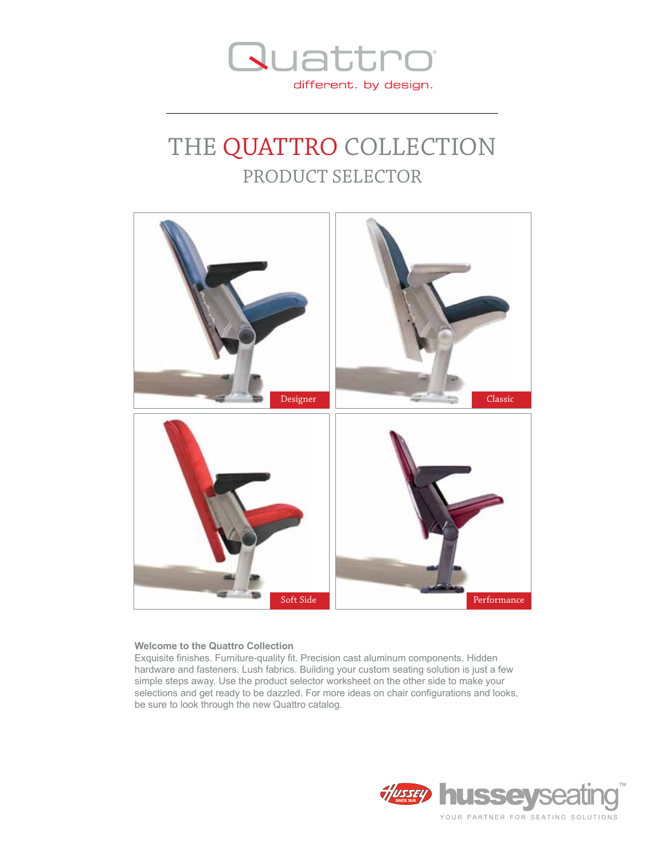

### THE QUATTRO COLLECTION PRODUCT SELECTOR



#### **Welcome to the Quattro Collection**

Exquisite finishes. Furniture-quality fit. Precision cast aluminum components. Hidden hardware and fasteners. Lush fabrics. Building your custom seating solution is just a few simple steps away. Use the product selector worksheet on the other side to make your selections and get ready to be dazzled. For more ideas on chair configurations and looks, be sure to look through the new Quattro catalog.

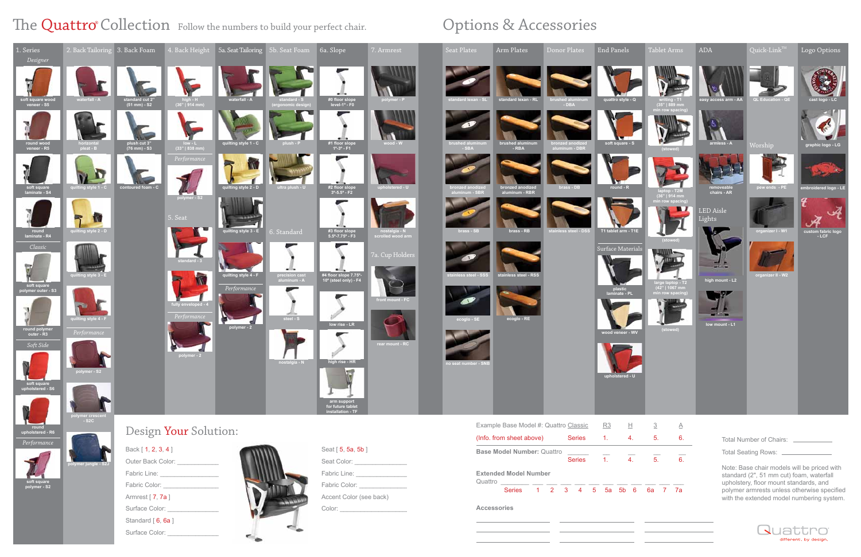**soft square polymer - S2**

Fabric Color: Armrest [ 7, 7a ]

Seat Color: \_\_\_\_\_\_ Fabric Line: \_\_\_\_\_\_\_\_\_\_\_\_\_\_\_ Fabric Color: \_\_\_\_\_\_\_\_\_\_\_\_\_\_ Accent Color (see back) Color: \_\_\_\_\_\_\_\_\_\_\_\_\_\_\_\_\_\_\_\_

**Base Model Number:** Quattro  $\frac{ }{\text{Series}}$   $\frac{}{\text{7}}$   $\frac{}{\text{4}}$ . **Series Extended Model Number** Quattro **Accessories** Series 1 2 3 4 5 5a 5b 6



|      | <b>Tablet Arms</b>                                        | ADA                                                                                                                                | Quic <u>k-Link™</u>      | Logo Options                 |
|------|-----------------------------------------------------------|------------------------------------------------------------------------------------------------------------------------------------|--------------------------|------------------------------|
| ŋ    | writing - T1<br>(35"   889 mm                             | easy access arm - AA                                                                                                               | <b>QL Education - QE</b> | cast logo - LC               |
|      | min row spacing)<br>(stowed)                              | armless - A                                                                                                                        | Worship                  | graphic logo - LG            |
|      | laptop - T2M<br>(36"   914 mm                             | removeable<br>chairs - AR                                                                                                          | pew ends - PE            | embroidered logo - LE        |
| E    | min row spacing)                                          | <b>LED</b> Aisle<br>Lights                                                                                                         | organizer I - W1         | custom fabric logo<br>$-LCF$ |
| ials | (stowed)                                                  |                                                                                                                                    |                          |                              |
|      |                                                           | high mount - L2                                                                                                                    | organizer II - W2        |                              |
|      | large laptop - T2<br>$(42"   1067$ mm<br>min row spacing) |                                                                                                                                    |                          |                              |
|      |                                                           | low mount - L1                                                                                                                     |                          |                              |
| v    | (stowed)                                                  |                                                                                                                                    |                          |                              |
|      |                                                           |                                                                                                                                    |                          |                              |
|      |                                                           |                                                                                                                                    |                          |                              |
|      |                                                           |                                                                                                                                    |                          |                              |
|      | $\overline{3}$<br>$\underline{\mathsf{A}}$                |                                                                                                                                    |                          |                              |
|      | 5.<br>6.                                                  | <b>Total Number of Chairs:</b>                                                                                                     |                          |                              |
|      | $\overline{5}$ .<br>6.                                    | Total Seating Rows: __________                                                                                                     |                          |                              |
|      |                                                           | Note: Base chair models will be priced with<br>standard (2", 51 mm cut) foam, waterfall                                            |                          |                              |
| 3    | 6a 7 7a                                                   | upholstery, floor mount standards, and<br>polymer armrests unless otherwise specified<br>with the extended model numbering system. |                          |                              |
|      |                                                           |                                                                                                                                    |                          |                              |
|      |                                                           |                                                                                                                                    | Quattro                  |                              |

different. by design.

<u>and the state</u>

**polymer jungle - S2J**

Surface Color:

Standard [6, 6a]

Fabric Line:

Surface Color:



## The Quattro® Collection Follow the numbers to build your perfect chair.

# Options & Accessories